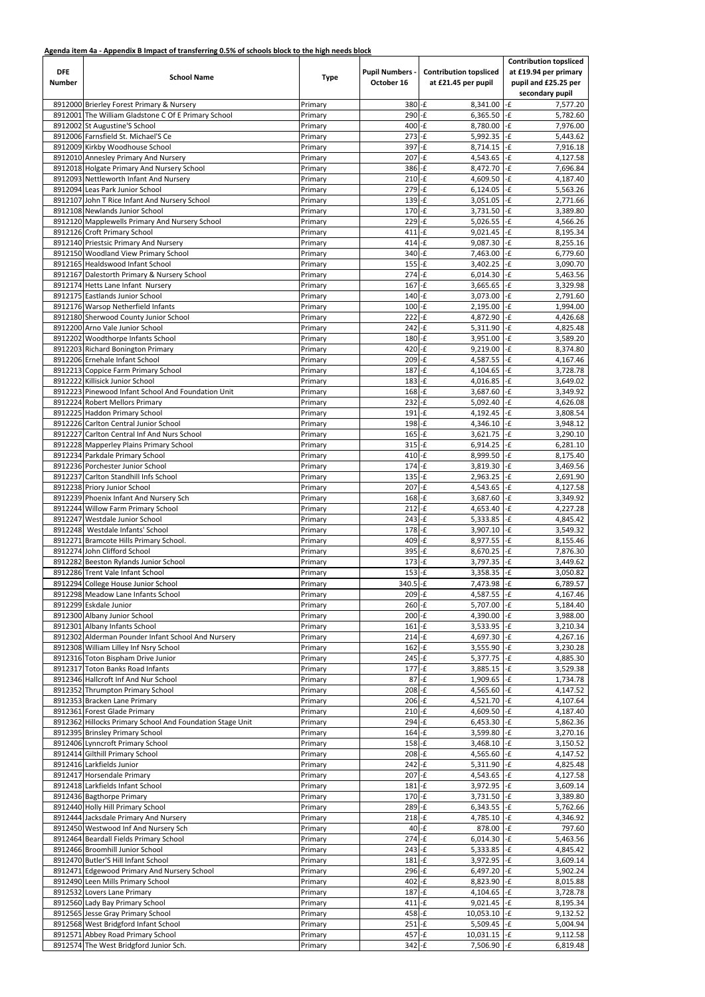## **Agenda item 4a - Appendix B Impact of transferring 0.5% of schools block to the high needs block**

| <b>DFE</b><br><b>Number</b> | <b>School Name</b>                                        | <b>Type</b> | <b>Pupil Numbers -</b><br>October 16 | <b>Contribution topsliced</b><br>at £21.45 per pupil | <b>Contribution topsliced</b><br>at £19.94 per primary<br>pupil and £25.25 per<br>secondary pupil |  |
|-----------------------------|-----------------------------------------------------------|-------------|--------------------------------------|------------------------------------------------------|---------------------------------------------------------------------------------------------------|--|
|                             | 8912000 Brierley Forest Primary & Nursery                 | Primary     | $380 - E$                            | 8,341.00                                             | $  -E$<br>7,577.20                                                                                |  |
|                             | 8912001 The William Gladstone C Of E Primary School       | Primary     | $290 - E$                            | 6,365.50                                             | $-E$<br>5,782.60                                                                                  |  |
|                             | 8912002 St Augustine'S School                             | Primary     | $400 - E$                            | 8,780.00                                             | -£<br>7,976.00                                                                                    |  |
|                             | 8912006 Farnsfield St. Michael'S Ce                       | Primary     | $273$ -£                             | 5,992.35                                             | $-E$<br>5,443.62                                                                                  |  |
|                             | 8912009 Kirkby Woodhouse School                           | Primary     | $397 - f$                            | 8,714.15                                             | -£<br>7,916.18                                                                                    |  |
|                             | 8912010 Annesley Primary And Nursery                      | Primary     | 207                                  | $-E$<br>4,543.65                                     | -£<br>4,127.58                                                                                    |  |
|                             | 8912018 Holgate Primary And Nursery School                | Primary     | $386 - E$                            | 8,472.70                                             | $-E$<br>7,696.84                                                                                  |  |
|                             | 8912093 Nettleworth Infant And Nursery                    | Primary     | $210 - E$                            | 4,609.50                                             | $-E$<br>4,187.40                                                                                  |  |
|                             | 8912094 Leas Park Junior School                           | Primary     | $279 - E$                            | 6,124.05                                             | $-E$<br>5,563.26                                                                                  |  |
|                             | 8912107 John T Rice Infant And Nursery School             | Primary     | $139$ -£                             | 3,051.05                                             | -£<br>2,771.66                                                                                    |  |
|                             | 8912108 Newlands Junior School                            | Primary     | 170                                  | $-E$<br>3,731.50                                     | -£<br>3,389.80                                                                                    |  |
|                             | 8912120 Mapplewells Primary And Nursery School            | Primary     | $229 - E$                            | 5,026.55                                             | -£<br>4,566.26                                                                                    |  |
|                             | 8912126 Croft Primary School                              | Primary     | $411$ -£                             | 9,021.45                                             | $-E$<br>8,195.34                                                                                  |  |
|                             | 8912140 Priestsic Primary And Nursery                     | Primary     | $414 - E$                            | 9,087.30                                             | $-F$<br>8,255.16                                                                                  |  |
|                             | 8912150 Woodland View Primary School                      | Primary     | $340 - E$                            | 7,463.00                                             | $  -E$<br>6,779.60                                                                                |  |
|                             | 8912165 Healdswood Infant School                          | Primary     | $155$ -£                             | 3,402.25                                             | -£<br>3,090.70                                                                                    |  |
|                             | 8912167 Dalestorth Primary & Nursery School               | Primary     | $274 - E$                            | 6,014.30                                             | $-E$<br>5,463.56                                                                                  |  |
|                             | 8912174 Hetts Lane Infant Nursery                         | Primary     | 167                                  | $-E$<br>3,665.65                                     | -£<br>3,329.98                                                                                    |  |
|                             | 8912175 Eastlands Junior School                           | Primary     | $140$ -£                             | 3,073.00                                             | -£<br>2,791.60                                                                                    |  |
|                             | 8912176 Warsop Netherfield Infants                        | Primary     | $100$ -£                             | 2,195.00                                             | -£<br>1,994.00                                                                                    |  |
|                             | 8912180 Sherwood County Junior School                     | Primary     | $222$ -£                             | 4,872.90                                             | $  -E$<br>4,426.68                                                                                |  |
|                             | 8912200 Arno Vale Junior School                           | Primary     | $242$ -£                             | 5,311.90                                             | -£<br>4,825.48                                                                                    |  |
|                             | 8912202 Woodthorpe Infants School                         | Primary     | $180 - E$                            | 3,951.00                                             | $  -E$<br>3,589.20                                                                                |  |
|                             | 8912203 Richard Bonington Primary                         | Primary     | 420                                  | $-E$<br>9,219.00                                     | -£<br>8,374.80                                                                                    |  |
|                             | 8912206 Ernehale Infant School                            | Primary     | 209                                  | $-E$<br>4,587.55                                     | $-E$<br>4,167.46                                                                                  |  |
|                             | 8912213 Coppice Farm Primary School                       | Primary     | $187 - f$                            | 4,104.65                                             | -£<br>3,728.78                                                                                    |  |
|                             | 8912222 Killisick Junior School                           | Primary     | 183                                  | $\mathsf{L}$<br>4,016.85                             | -£<br>3,649.02                                                                                    |  |
|                             | 8912223 Pinewood Infant School And Foundation Unit        | Primary     | $168$ -£                             | 3,687.60                                             | -£<br>3,349.92                                                                                    |  |
|                             | 8912224 Robert Mellors Primary                            | Primary     | $232 - f$                            | 5,092.40                                             | $\vert$ -£<br>4,626.08                                                                            |  |
|                             | 8912225 Haddon Primary School                             | Primary     | $191 - E$                            | 4,192.45                                             | -£<br>3,808.54                                                                                    |  |
|                             | 8912226 Carlton Central Junior School                     | Primary     | $198 - E$                            | $4,346.10$ -£                                        | 3,948.12                                                                                          |  |
|                             | 8912227 Carlton Central Inf And Nurs School               | Primary     | $165 - E$                            | $3,621.75$ -£                                        | 3,290.10                                                                                          |  |
|                             | 8912228 Mapperley Plains Primary School                   | Primary     | $315$ -£                             | $6,914.25$ -£                                        | 6,281.10                                                                                          |  |
|                             | 8912234 Parkdale Primary School                           | Primary     | $410$ -£                             | 8,999.50 $\overline{-f}$                             | 8,175.40                                                                                          |  |
|                             | 8912236 Porchester Junior School                          | Primary     | $174 - E$                            | 3,819.30                                             | $  -E$<br>3,469.56                                                                                |  |
|                             | 8912237 Carlton Standhill Infs School                     | Primary     | $135$ -£                             | 2,963.25                                             | $-E$<br>2,691.90                                                                                  |  |
|                             | 8912238 Priory Junior School                              | Primary     | $207 - f$                            | 4,543.65                                             | $-E$<br>4,127.58                                                                                  |  |
|                             | 8912239 Phoenix Infant And Nursery Sch                    | Primary     | $168 - E$                            | $3,687.60$ -£                                        | 3,349.92                                                                                          |  |
|                             | 8912244 Willow Farm Primary School                        | Primary     | $212$ -£                             | 4,653.40                                             | $-F$<br>4,227.28                                                                                  |  |
|                             | 8912247 Westdale Junior School                            | Primary     | $243$ -£                             | 5,333.85                                             | $-E$<br>4,845.42                                                                                  |  |
|                             | 8912248 Westdale Infants' School                          | Primary     | $178$ -£                             | 3,907.10                                             | $-F$<br>3,549.32                                                                                  |  |
|                             | 8912271 Bramcote Hills Primary School.                    | Primary     | $409 - E$                            | 8,977.55 - £                                         | 8,155.46                                                                                          |  |
|                             | 8912274 John Clifford School                              | Primary     | $395 - E$                            | 8,670.25                                             | $-E$<br>7,876.30                                                                                  |  |
|                             | 8912282 Beeston Rylands Junior School                     | Primary     | $173 - E$                            | 3,797.35                                             | $  -E$<br>3,449.62                                                                                |  |
|                             | 8912286 Trent Vale Infant School                          | Primary     | $153$ -£                             | 3,358.35                                             | -£<br>3,050.82                                                                                    |  |
|                             | 8912294 College House Junior School                       | Primary     | 340.5 - £                            | 7,473.98 - £                                         | 6,789.57                                                                                          |  |
|                             | 8912298 Meadow Lane Infants School                        | Primary     | $209 - E$                            | 4,587.55                                             | $-E$<br>4,167.46                                                                                  |  |
|                             | 8912299 Eskdale Junior                                    | Primary     | $260 - E$                            | 5,707.00                                             | $-E$<br>5,184.40                                                                                  |  |
|                             | 8912300 Albany Junior School                              | Primary     | $200$ -£                             | 4,390.00                                             | $-E$<br>3,988.00                                                                                  |  |
|                             | 8912301 Albany Infants School                             | Primary     | $161$ -£                             | 3,533.95                                             | $-E$<br>3,210.34                                                                                  |  |
|                             | 8912302 Alderman Pounder Infant School And Nursery        | Primary     | $214 - E$                            | 4,697.30                                             | $\left  -\right $<br>4,267.16                                                                     |  |
|                             | 8912308 William Lilley Inf Nsry School                    | Primary     | 162                                  | $l-f$<br>3,555.90                                    | $-E$<br>3,230.28                                                                                  |  |
|                             | 8912316 Toton Bispham Drive Junior                        | Primary     | $245 - E$                            | 5,377.75                                             | $\left  -\right $<br>4,885.30                                                                     |  |
|                             | 8912317 Toton Banks Road Infants                          | Primary     | $177 - f$                            | $3,885.15$ -f                                        | 3,529.38                                                                                          |  |
|                             | 8912346 Hallcroft Inf And Nur School                      | Primary     | $87 - E$                             | 1,909.65                                             | -£<br>1,734.78                                                                                    |  |
|                             | 8912352 Thrumpton Primary School                          | Primary     | $208$ -£                             | 4,565.60 $\left  -E \right $                         | 4,147.52                                                                                          |  |
|                             | 8912353 Bracken Lane Primary                              | Primary     | $206$ -£                             | 4,521.70 $\cdot$ £                                   | 4,107.64                                                                                          |  |
|                             | 8912361 Forest Glade Primary                              | Primary     | $210 - E$                            | 4,609.50                                             | $-E$<br>4,187.40                                                                                  |  |
|                             | 8912362 Hillocks Primary School And Foundation Stage Unit | Primary     | $294 - E$                            | 6,453.30                                             | $-E$<br>5,862.36                                                                                  |  |
|                             | 8912395 Brinsley Primary School                           | Primary     | $164 - E$                            | 3,599.80                                             | -£<br>3,270.16                                                                                    |  |
|                             | 8912406 Lynncroft Primary School                          | Primary     | $158$ -£                             | 3,468.10                                             | -£<br>3,150.52                                                                                    |  |
|                             | 8912414 Gilthill Primary School                           | Primary     | $208 - f$                            | 4,565.60                                             | -£<br>4,147.52                                                                                    |  |
|                             | 8912416 Larkfields Junior                                 | Primary     | $242$ -£                             | $5,311.90$ -£                                        | 4,825.48                                                                                          |  |
|                             | 8912417 Horsendale Primary                                | Primary     | $207 - f$                            | 4,543.65                                             | $-E$<br>4,127.58                                                                                  |  |
|                             | 8912418 Larkfields Infant School                          | Primary     | 181                                  | $I-f$<br>$3,972.95$ -£                               | 3,609.14                                                                                          |  |
|                             | 8912436 Bagthorpe Primary                                 | Primary     | $170 - E$                            | $3,731.50$ -£                                        | 3,389.80                                                                                          |  |
|                             | 8912440 Holly Hill Primary School                         | Primary     | $289 - E$                            | $6,343.55$ -£                                        | 5,762.66                                                                                          |  |
|                             | 8912444 Jacksdale Primary And Nursery                     | Primary     | $218 - E$                            | $4,785.10$ -£                                        | 4,346.92                                                                                          |  |
|                             | 8912450 Westwood Inf And Nursery Sch                      | Primary     | $40 - E$                             | 878.00 -£                                            | 797.60                                                                                            |  |
|                             | 8912464 Beardall Fields Primary School                    | Primary     | $274 - f$                            | $6,014.30$ -£                                        | 5,463.56                                                                                          |  |
|                             | 8912466 Broomhill Junior School                           | Primary     | $243 - E$                            | $5,333.85$ -£                                        | 4,845.42                                                                                          |  |
|                             | 8912470 Butler'S Hill Infant School                       | Primary     | $181 - E$                            | $3,972.95$ -£                                        | 3,609.14                                                                                          |  |
|                             | 8912471 Edgewood Primary And Nursery School               | Primary     | $296 - E$                            | $6,497.20$ -£                                        | 5,902.24                                                                                          |  |
|                             | 8912490 Leen Mills Primary School                         | Primary     | $402 - f$                            | $8,823.90$ -£                                        | 8,015.88                                                                                          |  |
|                             | 8912532 Lovers Lane Primary                               | Primary     | $187 - f$                            | $4,104.65$ -£                                        | 3,728.78                                                                                          |  |
|                             | 8912560 Lady Bay Primary School                           | Primary     | $411 - E$                            | $9,021.45$ -£                                        | 8,195.34                                                                                          |  |
|                             | 8912565 Jesse Gray Primary School                         | Primary     | $458 - f$                            | $10,053.10$ -£                                       | 9,132.52                                                                                          |  |
|                             | 8912568 West Bridgford Infant School                      | Primary     | $251 - f$                            | $5,509.45$ -£                                        | 5,004.94                                                                                          |  |
|                             | 8912571 Abbey Road Primary School                         | Primary     | $457 - f$                            | $10,031.15$ -f                                       | 9,112.58                                                                                          |  |
|                             | 8912574 The West Bridgford Junior Sch.                    | Primary     | $342 - f$                            | $7,506.90$ -£                                        | 6,819.48                                                                                          |  |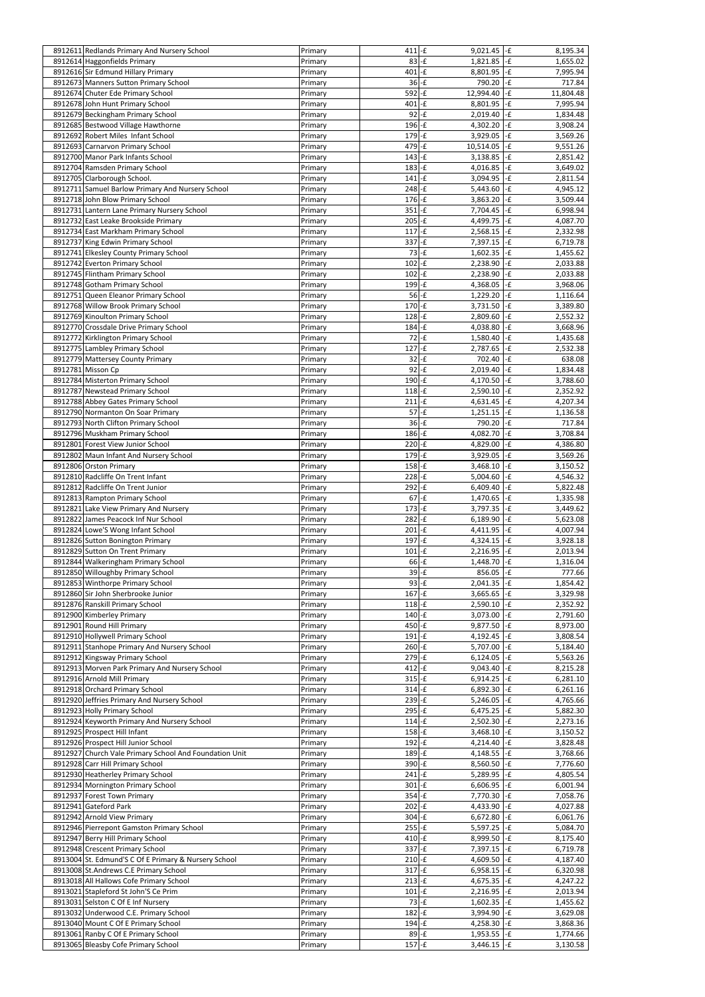| 8912611 Redlands Primary And Nursery School                                | Primary            | $411 - E$        | $9,021.45$ -£                           | 8,195.34                  |
|----------------------------------------------------------------------------|--------------------|------------------|-----------------------------------------|---------------------------|
|                                                                            |                    |                  |                                         |                           |
| 8912614 Haggonfields Primary                                               | Primary            | $83 - E$         | $1,821.85$ -f                           | 1,655.02                  |
| 8912616 Sir Edmund Hillary Primary                                         | Primary            | $401$ -£         | 8,801.95 - £                            | 7,995.94                  |
| 8912673 Manners Sutton Primary School                                      | Primary            | $36 - E$         | 790.20                                  | -£<br>717.84              |
| 8912674 Chuter Ede Primary School                                          | Primary            | $592$ -£         | 12,994.40                               | -£<br>11,804.48           |
| 8912678 John Hunt Primary School                                           | Primary            | 401              | $-E$<br>8,801.95 - £                    | 7,995.94                  |
|                                                                            |                    |                  |                                         |                           |
| 8912679 Beckingham Primary School                                          | Primary            | $92 - f$         | $2,019.40$ -£                           | 1,834.48                  |
| 8912685 Bestwood Village Hawthorne                                         | Primary            | $196 - E$        | $4,302.20$ -£                           | 3,908.24                  |
| 8912692 Robert Miles Infant School                                         | Primary            | $179 - E$        | 3,929.05                                | - $\mathbf f$<br>3,569.26 |
| 8912693 Carnarvon Primary School                                           | Primary            | $479 - E$        | $10,514.05$ -£                          | 9,551.26                  |
|                                                                            |                    |                  |                                         |                           |
| 8912700 Manor Park Infants School                                          | Primary            | $143$ -£         | $3,138.85$ -£                           | 2,851.42                  |
| 8912704 Ramsden Primary School                                             | Primary            | $183$ -£         | 4,016.85 $\left  \cdot \right $         | 3,649.02                  |
| 8912705 Clarborough School.                                                | Primary            | $141$ -£         | $3,094.95$ -£                           | 2,811.54                  |
| 8912711 Samuel Barlow Primary And Nursery School                           | Primary            | $248 - E$        | $5,443.60$ -£                           | 4,945.12                  |
|                                                                            |                    |                  |                                         |                           |
| 8912718 John Blow Primary School                                           | Primary            | $176$ -£         | 3,863.20                                | $-E$<br>3,509.44          |
| 8912731 Lantern Lane Primary Nursery School                                | Primary            | $351$ -£         | $7,704.45$ -£                           | 6,998.94                  |
| 8912732 East Leake Brookside Primary                                       | Primary            | $205$ -£         | 4,499.75 $-F$                           | 4,087.70                  |
| 8912734 East Markham Primary School                                        | Primary            | $117$ -£         | $2,568.15$ -f                           | 2,332.98                  |
|                                                                            |                    |                  |                                         |                           |
| 8912737 King Edwin Primary School                                          | Primary            | $337 - E$        | $7,397.15$ -£                           | 6,719.78                  |
| 8912741 Elkesley County Primary School                                     | Primary            | $73$ -£          | $1,602.35$ -f                           | 1,455.62                  |
| 8912742 Everton Primary School                                             | Primary            | $102$ -£         | 2,238.90                                | -£<br>2,033.88            |
| 8912745 Flintham Primary School                                            | Primary            | $102$ -£         | 2,238.90                                | -£                        |
|                                                                            |                    |                  |                                         | 2,033.88                  |
| 8912748 Gotham Primary School                                              | Primary            | 199-f            | 4,368.05                                | $  -E$<br>3,968.06        |
| 8912751 Queen Eleanor Primary School                                       | Primary            | $56 - E$         | 1,229.20                                | $-E$<br>1,116.64          |
| 8912768 Willow Brook Primary School                                        | Primary            | $170$ -£         | $3,731.50$ -£                           | 3,389.80                  |
|                                                                            |                    | $128$ - $E$      |                                         | -£                        |
| 8912769 Kinoulton Primary School                                           | Primary            |                  | 2,809.60                                | 2,552.32                  |
| 8912770 Crossdale Drive Primary School                                     | Primary            | $184 - E$        | 4,038.80                                | - $\mathbf f$<br>3,668.96 |
| 8912772 Kirklington Primary School                                         | Primary            | $72$ -£          | $1,580.40$ -£                           | 1,435.68                  |
| 8912775 Lambley Primary School                                             | Primary            | $127 - f$        | 2,787.65                                | - $\mathbf f$<br>2,532.38 |
|                                                                            |                    |                  |                                         |                           |
| 8912779 Mattersey County Primary                                           | Primary            | $32$ -£          | 702.40                                  | -£<br>638.08              |
| 8912781 Misson Cp                                                          | Primary            | $92 - f$         | $2,019.40$ -£                           | 1,834.48                  |
| 8912784 Misterton Primary School                                           | Primary            | $190 - E$        | 4,170.50 $\overline{-f}$                | 3,788.60                  |
| 8912787 Newstead Primary School                                            | Primary            | $118$ - $f$      | $2,590.10$ -£                           | 2,352.92                  |
|                                                                            |                    |                  |                                         |                           |
| 8912788 Abbey Gates Primary School                                         | Primary            | $211$ -£         | 4,631.45 - £                            | 4,207.34                  |
| 8912790 Normanton On Soar Primary                                          | Primary            | $57$ -£          | $1,251.15$ -f                           | 1,136.58                  |
| 8912793 North Clifton Primary School                                       | Primary            | $36 - E$         | 790.20 -£                               | 717.84                    |
|                                                                            |                    |                  | 4,082.70 $\left  \cdot \right $         |                           |
| 8912796 Muskham Primary School                                             | Primary            | $186 - E$        |                                         | 3,708.84                  |
| 8912801 Forest View Junior School                                          | Primary            | $220$ -£         | 4,829.00 - £                            | 4,386.80                  |
| 8912802 Maun Infant And Nursery School                                     | Primary            | $179$ -£         | $3,929.05$ -£                           | 3,569.26                  |
| 8912806 Orston Primary                                                     | Primary            | $158 - E$        | $3,468.10$ -£                           | 3,150.52                  |
|                                                                            |                    |                  |                                         |                           |
| 8912810 Radcliffe On Trent Infant                                          | Primary            | $228 - E$        | $5,004.60$ -£                           | 4,546.32                  |
| 8912812 Radcliffe On Trent Junior                                          | Primary            | $292$ -£         | 6,409.40                                | -£<br>5,822.48            |
| 8912813 Rampton Primary School                                             | Primary            | 67               | $-E$<br>1,470.65 - £                    | 1,335.98                  |
| 8912821 Lake View Primary And Nursery                                      | Primary            | $173$ -£         | $3,797.35$ -£                           | 3,449.62                  |
|                                                                            |                    |                  |                                         |                           |
| 8912822 James Peacock Inf Nur School                                       | Primary            | $282 - f$        | 6,189.90 -f                             | 5,623.08                  |
| 8912824 Lowe'S Wong Infant School                                          | Primary            | $201$ -£         | 4,411.95                                | - $\mathbf f$<br>4,007.94 |
| 8912826 Sutton Bonington Primary                                           | Primary            | 197              | $-E$<br>4,324.15 $\left  \cdot \right $ | 3,928.18                  |
| 8912829 Sutton On Trent Primary                                            | Primary            | 101              | $-E$<br>$2,216.95$ -£                   | 2,013.94                  |
|                                                                            |                    |                  |                                         |                           |
| 8912844 Walkeringham Primary School                                        | Primary            | $66 - E$         | $1,448.70$ -£                           | 1,316.04                  |
| 8912850 Willoughby Primary School                                          | Primary            | $39 - E$         | 856.05                                  | $-E$<br>777.66            |
| 8912853 Winthorpe Primary School                                           | Primary            | $93 - E$         | $2,041.35$ -£                           | 1,854.42                  |
| 8912860 Sir John Sherbrooke Junior                                         | Primary            | $167$ -£         | $3,665.65$ -£                           | 3,329.98                  |
|                                                                            |                    |                  |                                         |                           |
| 8912876 Ranskill Primary School                                            | Primary            | $118$ - $E$      | $2,590.10$ -£                           | 2,352.92                  |
| 8912900 Kimberley Primary                                                  | Primary            |                  |                                         |                           |
|                                                                            |                    | $140$ -£         | $3,073.00$ -£                           | 2,791.60                  |
|                                                                            |                    | $450 - E$        |                                         |                           |
| 8912901 Round Hill Primary                                                 | Primary            |                  | 9,877.50 - £                            | 8,973.00                  |
| 8912910 Hollywell Primary School                                           | Primary            | $191 - E$        | 4,192.45 $-F$                           | 3,808.54                  |
| 8912911 Stanhope Primary And Nursery School                                | Primary            | $260 - E$        | 5,707.00 $\overline{-f}$                | 5,184.40                  |
| 8912912 Kingsway Primary School                                            | Primary            | $279$ -£         | $6,124.05$ -£                           | 5,563.26                  |
| 8912913 Morven Park Primary And Nursery School                             |                    | $412$ -£         | 9,043.40                                | - $\mathbf f$             |
|                                                                            | Primary            |                  |                                         | 8,215.28                  |
| 8912916 Arnold Mill Primary                                                | Primary            | $315$ -£         | 6,914.25                                | $-E$<br>6,281.10          |
| 8912918 Orchard Primary School                                             | Primary            | $314 - E$        | 6,892.30                                | -£<br>6,261.16            |
| 8912920 Jeffries Primary And Nursery School                                | Primary            | $239 - E$        | 5,246.05                                | $  -E$<br>4,765.66        |
| 8912923 Holly Primary School                                               |                    | $295$ -£         |                                         |                           |
|                                                                            | Primary            |                  | $6,475.25$ -£                           | 5,882.30                  |
| 8912924 Keyworth Primary And Nursery School                                | Primary            | $114 - E$        | $2,502.30$ -£                           | 2,273.16                  |
| 8912925 Prospect Hill Infant                                               | Primary            | $158$ -£         | 3,468.10                                | $-E$<br>3,150.52          |
| 8912926 Prospect Hill Junior School                                        | Primary            | $192$ -£         | 4,214.40 - £                            | 3,828.48                  |
|                                                                            |                    |                  |                                         |                           |
| 8912927 Church Vale Primary School And Foundation Unit                     | Primary            | $189 - E$        | $4,148.55$ -£                           | 3,768.66                  |
| 8912928 Carr Hill Primary School                                           | Primary            | $390 - E$        | 8,560.50 - £                            | 7,776.60                  |
| 8912930 Heatherley Primary School                                          | Primary            | $241$ -£         | $5,289.95$ -£                           | 4,805.54                  |
| 8912934 Mornington Primary School                                          | Primary            | $301 - E$        | $6,606.95$ -£                           | 6,001.94                  |
|                                                                            |                    |                  |                                         |                           |
| 8912937 Forest Town Primary                                                | Primary            | $354 - f$        | 7,770.30 - £                            | 7,058.76                  |
| 8912941 Gateford Park                                                      | Primary            | $202$ -£         | 4,433.90 - £                            | 4,027.88                  |
| 8912942 Arnold View Primary                                                | Primary            | $304 - f$        | $6,672.80$ -£                           | 6,061.76                  |
| 8912946 Pierrepont Gamston Primary School                                  | Primary            | $255 - E$        | $5,597.25$ -£                           | 5,084.70                  |
|                                                                            |                    |                  |                                         |                           |
| 8912947 Berry Hill Primary School                                          | Primary            | $410 - E$        | 8,999.50 - £                            | 8,175.40                  |
| 8912948 Crescent Primary School                                            | Primary            | $337 - f$        | 7,397.15 - £                            | 6,719.78                  |
| 8913004 St. Edmund'S C Of E Primary & Nursery School                       | Primary            | $210 - E$        | 4,609.50 - £                            | 4,187.40                  |
| 8913008 St.Andrews C.E Primary School                                      | Primary            | $317 - f$        | $6,958.15$ -£                           | 6,320.98                  |
|                                                                            |                    |                  |                                         |                           |
| 8913018 All Hallows Cofe Primary School                                    | Primary            | $213$ -£         | 4,675.35 - £                            | 4,247.22                  |
| 8913021 Stapleford St John'S Ce Prim                                       | Primary            | $101$ -£         | $2,216.95$ -£                           | 2,013.94                  |
| 8913031 Selston C Of E Inf Nursery                                         | Primary            | $73$ -£          | $1,602.35$ -f                           | 1,455.62                  |
| 8913032 Underwood C.E. Primary School                                      |                    |                  |                                         |                           |
|                                                                            | Primary            | $182$ -£         | $3,994.90$ -£                           | 3,629.08                  |
| 8913040 Mount C Of E Primary School                                        | Primary            | $194 - E$        | 4,258.30 $\left  \cdot \right $         | 3,868.36                  |
| 8913061 Ranby C Of E Primary School<br>8913065 Bleasby Cofe Primary School | Primary<br>Primary | 89-£<br>$157$ -£ | $1,953.55$ -£<br>$3,446.15$ -£          | 1,774.66<br>3,130.58      |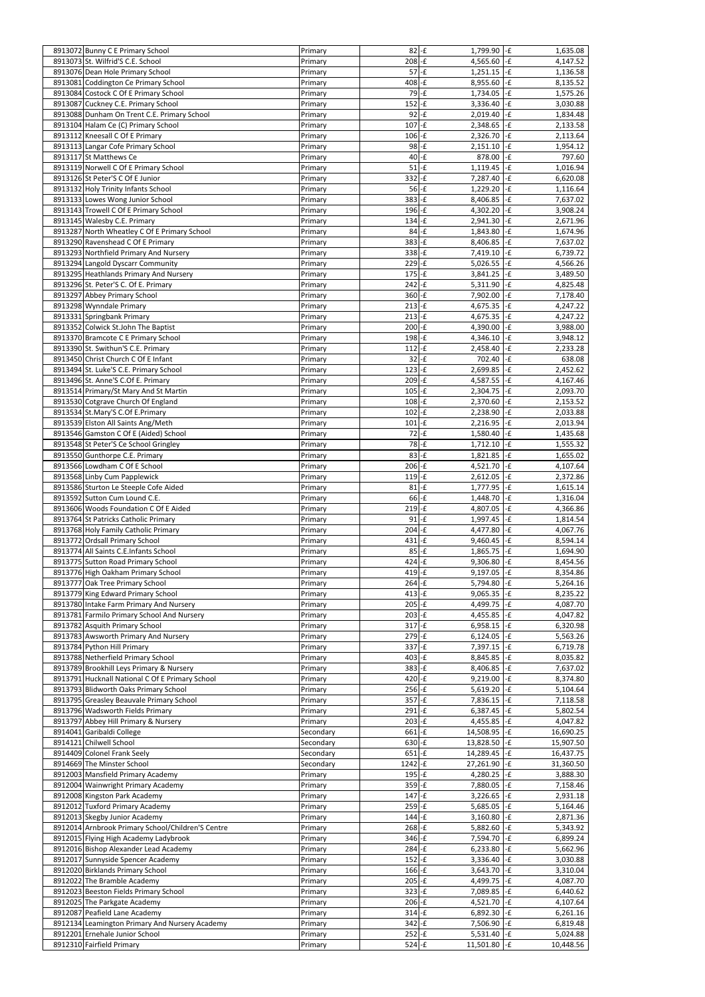| 8913072 Bunny C E Primary School                            | Primary            | $82$ -£                | 1,799.90 -f                     | 1,635.08                                |
|-------------------------------------------------------------|--------------------|------------------------|---------------------------------|-----------------------------------------|
|                                                             |                    |                        |                                 |                                         |
| 8913073 St. Wilfrid'S C.E. School                           | Primary            | $208 - E$              | 4,565.60 - £                    | 4,147.52                                |
| 8913076 Dean Hole Primary School                            | Primary            | $57$ -£                | $1,251.15$ -f                   | 1,136.58                                |
| 8913081 Coddington Ce Primary School                        | Primary            | $408 - E$              | $8,955.60$ -£                   | 8,135.52                                |
| 8913084 Costock C Of E Primary School                       | Primary            | $79 - E$               | $1,734.05$ -£                   | 1,575.26                                |
| 8913087 Cuckney C.E. Primary School                         | Primary            | $152$ -£               | $3,336.40$ -£                   | 3,030.88                                |
| 8913088 Dunham On Trent C.E. Primary School                 | Primary            | $92 - f$               | $2,019.40$ -£                   | 1,834.48                                |
| 8913104 Halam Ce (C) Primary School                         | Primary            | $107$ -£               | $2,348.65$ -£                   | 2,133.58                                |
| 8913112 Kneesall C Of E Primary                             | Primary            | $106 - E$              | $2,326.70$ -£                   | 2,113.64                                |
| 8913113 Langar Cofe Primary School                          | Primary            | $98 - f$               | $2,151.10$ -f                   | 1,954.12                                |
| 8913117 St Matthews Ce                                      | Primary            | $40 - f$               | 878.00 - £                      | 797.60                                  |
| 8913119 Norwell C Of E Primary School                       |                    | $51$ -£                | $1,119.45$ -f                   |                                         |
|                                                             | Primary            |                        |                                 | 1,016.94                                |
| 8913126 St Peter'S C Of E Junior                            | Primary            | $332$ -£               | $7,287.40$ -£                   | 6,620.08                                |
| 8913132 Holy Trinity Infants School                         | Primary            | $56 - E$               | 1,229.20                        | $-E$<br>1,116.64                        |
| 8913133 Lowes Wong Junior School                            | Primary            | $383 - E$              | 8,406.85 - £                    | 7,637.02                                |
| 8913143 Trowell C Of E Primary School                       | Primary            | $196 - E$              | 4,302.20                        | -£<br>3,908.24                          |
| 8913145 Walesby C.E. Primary                                | Primary            | $134 - E$              | 2,941.30                        | $-E$<br>2,671.96                        |
| 8913287 North Wheatley C Of E Primary School                | Primary            | 84                     | $-F$<br>1,843.80                | - $\boldsymbol{\mathsf{f}}$<br>1,674.96 |
| 8913290 Ravenshead C Of E Primary                           | Primary            | $383 - E$              | $8,406.85$ -£                   | 7,637.02                                |
| 8913293 Northfield Primary And Nursery                      | Primary            | $338$ -£               | 7,419.10 -f                     | 6,739.72                                |
| 8913294 Langold Dyscarr Community                           | Primary            | $229$ -£               | $5,026.55$ -£                   | 4,566.26                                |
| 8913295 Heathlands Primary And Nursery                      | Primary            | $175$ -£               | $3,841.25$ -£                   | 3,489.50                                |
| 8913296 St. Peter'S C. Of E. Primary                        | Primary            | $242$ -£               | $5,311.90$ -£                   | 4,825.48                                |
|                                                             |                    |                        |                                 |                                         |
| 8913297 Abbey Primary School                                | Primary            | $360 - E$              | $7,902.00$ -£                   | 7,178.40                                |
| 8913298 Wynndale Primary                                    | Primary            | $213$ -£               | 4,675.35 $-F$                   | 4,247.22                                |
| 8913331 Springbank Primary                                  | Primary            | $213$ -f               | $4,675.35$ -£                   | 4,247.22                                |
| 8913352 Colwick St.John The Baptist                         | Primary            | $200$ -£               | 4,390.00 $\left  \cdot \right $ | 3,988.00                                |
| 8913370 Bramcote C E Primary School                         | Primary            | $198 - E$              | $4,346.10$ -£                   | 3,948.12                                |
| 8913390 St. Swithun'S C.E. Primary                          | Primary            | $112$ -£               | $2,458.40$ -£                   | 2,233.28                                |
| 8913450 Christ Church C Of E Infant                         | Primary            | $32$ -£                | 702.40 -£                       | 638.08                                  |
| 8913494 St. Luke'S C.E. Primary School                      | Primary            | $123$ -£               | $2,699.85$ -£                   | 2,452.62                                |
| 8913496 St. Anne'S C.Of E. Primary                          | Primary            | $209$ -£               | $4,587.\overline{55}$ -£        | 4,167.46                                |
| 8913514 Primary/St Mary And St Martin                       | Primary            | $105$ -£               | $2,304.75$ -£                   | 2,093.70                                |
| 8913530 Cotgrave Church Of England                          | Primary            | $108 - E$              | 2,370.60 - £                    | 2,153.52                                |
|                                                             |                    | $102$ -£               |                                 | 2,033.88                                |
| 8913534 St.Mary'S C.Of E.Primary                            | Primary            |                        | $2,238.90$ -£                   |                                         |
| 8913539 Elston All Saints Ang/Meth                          | Primary            | $101$ -£               | $2,216.95$ -£                   | 2,013.94                                |
| 8913546 Gamston C Of E (Aided) School                       | Primary            | $72$ -£                | $1,580.40$ -£                   | 1,435.68                                |
| 8913548 St Peter'S Ce School Gringley                       | Primary            | $78 - f$               | $1,712.10$ -£                   | 1,555.32                                |
| 8913550 Gunthorpe C.E. Primary                              | Primary            | $83 - E$               | $1,821.85$ -f                   | 1,655.02                                |
| 8913566 Lowdham C Of E School                               | Primary            | $206 - E$              | 4,521.70 - £                    | 4,107.64                                |
| 8913568 Linby Cum Papplewick                                | Primary            | $119 - E$              | 2,612.05                        | - $\mathbf f$<br>2,372.86               |
| 8913586 Sturton Le Steeple Cofe Aided                       | Primary            | $81 - E$               | 1,777.95 - £                    | 1,615.14                                |
| 8913592 Sutton Cum Lound C.E.                               | Primary            | $66 - E$               | 1,448.70 - £                    | 1,316.04                                |
| 8913606 Woods Foundation C Of E Aided                       | Primary            | $219$ -£               | 4,807.05 $\left  \cdot \right $ | 4,366.86                                |
| 8913764 St Patricks Catholic Primary                        | Primary            | $91$ -£                | $1,997.45$ -£                   | 1,814.54                                |
| 8913768 Holy Family Catholic Primary                        | Primary            | $204 - f$              | 4,477.80 - £                    | 4,067.76                                |
| 8913772 Ordsall Primary School                              | Primary            | $431 - E$              | $9,460.45$ -£                   | 8,594.14                                |
| 8913774 All Saints C.E.Infants School                       | Primary            | $85 - E$               | $1,865.75$ -£                   | 1,694.90                                |
| 8913775 Sutton Road Primary School                          | Primary            | $424 - E$              | $9,306.80$ -£                   | 8,454.56                                |
| 8913776 High Oakham Primary School                          | Primary            | $419$ -£               | $9,197.05$ -£                   | 8,354.86                                |
| 8913777 Oak Tree Primary School                             | Primary            | $264 - \frac{1}{5}$    | $5,794.80$ -£                   | 5,264.16                                |
| 8913779 King Edward Primary School                          | Primary            | $413$ -£               | $9,065.35$ -£                   | 8,235.22                                |
| 8913780 Intake Farm Primary And Nursery                     | Primary            | $205 - E$              | 4,499.75 - £                    | 4,087.70                                |
| 8913781 Farmilo Primary School And Nursery                  | Primary            | $203$ -£               | 4,455.85 $-E$                   | 4,047.82                                |
| 8913782 Asquith Primary School                              | Primary            | $317 - E$              | $6,958.15$ -£                   | 6,320.98                                |
| 8913783 Awsworth Primary And Nursery                        |                    | $279 - f$              | $6,124.05$ -£                   | 5,563.26                                |
|                                                             | Primary            | $337 - f$              | $7,397.15$ -£                   |                                         |
| 8913784 Python Hill Primary                                 | Primary            |                        |                                 | 6,719.78                                |
| 8913788 Netherfield Primary School                          | Primary            | $403$ -£               | $8,845.85$ -£                   | 8,035.82                                |
| 8913789 Brookhill Leys Primary & Nursery                    | Primary            | $383 - E$              | 8,406.85 - £                    | 7,637.02                                |
| 8913791 Hucknall National C Of E Primary School             | Primary            | $420 - E$              | $9,219.00$ -£                   | 8,374.80                                |
| 8913793 Blidworth Oaks Primary School                       | Primary            | $256 - E$              | $5,619.20$ -£                   | 5,104.64                                |
| 8913795 Greasley Beauvale Primary School                    | Primary            | $357 - f$              | $7,836.15$ -£                   | 7,118.58                                |
| 8913796 Wadsworth Fields Primary                            | Primary            | $291 - E$              | $6,387.45$ -£                   | 5,802.54                                |
| 8913797 Abbey Hill Primary & Nursery                        | Primary            | $203$ -£               | 4,455.85 $-F$                   | 4,047.82                                |
| 8914041 Garibaldi College                                   | Secondary          | $661 - E$              | 14,508.95 -f                    | 16,690.25                               |
| 8914121 Chilwell School                                     | Secondary          | $630 - E$              | 13,828.50 - £                   | 15,907.50                               |
| 8914409 Colonel Frank Seely                                 | Secondary          | $651$ -£               | 14,289.45 $-F$                  | 16,437.75                               |
| 8914669 The Minster School                                  | Secondary          | 1242-f                 | 27,261.90 - £                   | 31,360.50                               |
| 8912003 Mansfield Primary Academy                           | Primary            | $195 - E$              | 4,280.25 $\left  \cdot \right $ | 3,888.30                                |
| 8912004 Wainwright Primary Academy                          | Primary            | $359 - E$              | 7,880.05 - £                    | 7,158.46                                |
| 8912008 Kingston Park Academy                               | Primary            | $147$ -£               | $3,226.65$ -£                   | 2,931.18                                |
| 8912012 Tuxford Primary Academy                             |                    | $259 - E$              | $5,685.05$ -£                   |                                         |
|                                                             | Primary            | $144 - E$              |                                 | 5,164.46                                |
| 8912013 Skegby Junior Academy                               | Primary            | $268 - E$              | $3,160.80$ -£<br>$5,882.60$ -£  | 2,871.36                                |
|                                                             |                    |                        |                                 | 5,343.92                                |
| 8912014 Arnbrook Primary School/Children'S Centre           | Primary            |                        |                                 |                                         |
| 8912015 Flying High Academy Ladybrook                       | Primary            | 346-£                  | 7,594.70                        | - $\boldsymbol{\mathsf{f}}$<br>6,899.24 |
| 8912016 Bishop Alexander Lead Academy                       | Primary            | $284 - f$              | $6,233.80$ -£                   | 5,662.96                                |
| 8912017 Sunnyside Spencer Academy                           | Primary            | $152$ -£               | $3,336.40 -E$                   | 3,030.88                                |
| 8912020 Birklands Primary School                            | Primary            | $166 - E$              | $3,643.70$ -£                   | 3,310.04                                |
| 8912022 The Bramble Academy                                 | Primary            | $205$ -£               | 4,499.75 - £                    | 4,087.70                                |
| 8912023 Beeston Fields Primary School                       | Primary            | $323$ -£               | 7,089.85 - £                    | 6,440.62                                |
| 8912025 The Parkgate Academy                                | Primary            | $206$ -£               | 4,521.70 $\cdot$ £              | 4,107.64                                |
| 8912087 Peafield Lane Academy                               | Primary            | $314 - E$              | 6,892.30 $\overline{f}$         | 6,261.16                                |
| 8912134 Leamington Primary And Nursery Academy              | Primary            | $342 - f$              | 7,506.90                        | -£<br>6,819.48                          |
| 8912201 Ernehale Junior School<br>8912310 Fairfield Primary | Primary<br>Primary | $252 - f$<br>$524 - f$ | $5,531.40$ -£<br>11,501.80 -f   | 5,024.88<br>10,448.56                   |